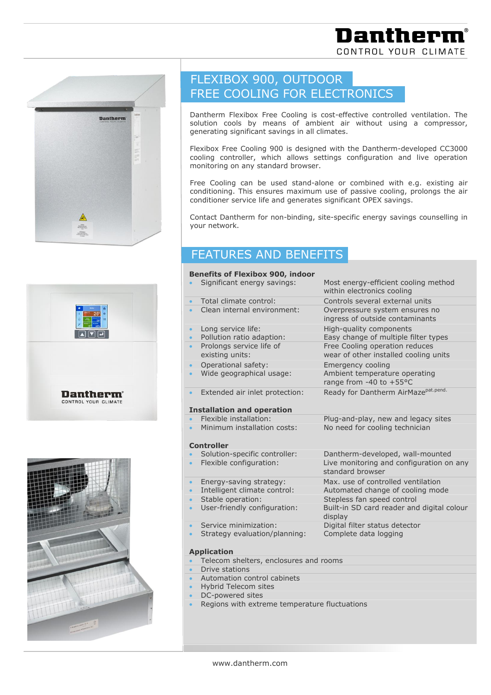



**Dantherm**<sup>®</sup> CONTROL YOUR CLIMATE

# FLEXIBOX 900, OUTDOOR FREE COOLING FOR ELECTRONICS

Dantherm Flexibox Free Cooling is cost-effective controlled ventilation. The solution cools by means of ambient air without using a compressor, generating significant savings in all climates.

Flexibox Free Cooling 900 is designed with the Dantherm-developed CC3000 cooling controller, which allows settings configuration and live operation monitoring on any standard browser.

Free Cooling can be used stand-alone or combined with e.g. existing air conditioning. This ensures maximum use of passive cooling, prolongs the air conditioner service life and generates significant OPEX savings.

Contact Dantherm for non-binding, site-specific energy savings counselling in your network.

### FEATURES AND BENEFITS

### **Benefits of Flexibox 900, indoor**

- 
- 
- 
- 
- 
- 
- 
- 
- Extended air inlet protection: Ready for Dantherm AirMaze<sup>pat.pend.</sup>

#### **Installation and operation**

- 
- 

#### **Controller**

- 
- 
- 
- 
- 
- User-friendly configuration: Built-in SD card reader and digital colour
- 
- Strategy evaluation/planning: Complete data logging

#### **Application**

- Telecom shelters, enclosures and rooms
- Drive stations
- Automation control cabinets
- Hybrid Telecom sites
- DC-powered sites
- Regions with extreme temperature fluctuations

 Significant energy savings: Most energy-efficient cooling method within electronics cooling Total climate control: Controls several external units Clean internal environment: Overpressure system ensures no ingress of outside contaminants Long service life: High-quality components Pollution ratio adaption: Easy change of multiple filter types Prolongs service life of Free Cooling operation reduces existing units: wear of other installed cooling units Operational safety: Emergency cooling Wide geographical usage: Ambient temperature operating range from -40 to +55°C

 Flexible installation: Plug-and-play, new and legacy sites Minimum installation costs: No need for cooling technician

 Solution-specific controller: Dantherm-developed, wall-mounted Flexible configuration: Live monitoring and configuration on any standard browser

Energy-saving strategy: Max. use of controlled ventilation

- Intelligent climate control: Automated change of cooling mode
- Stable operation: Stepless fan speed control
	- display
- Service minimization: Digital filter status detector
	-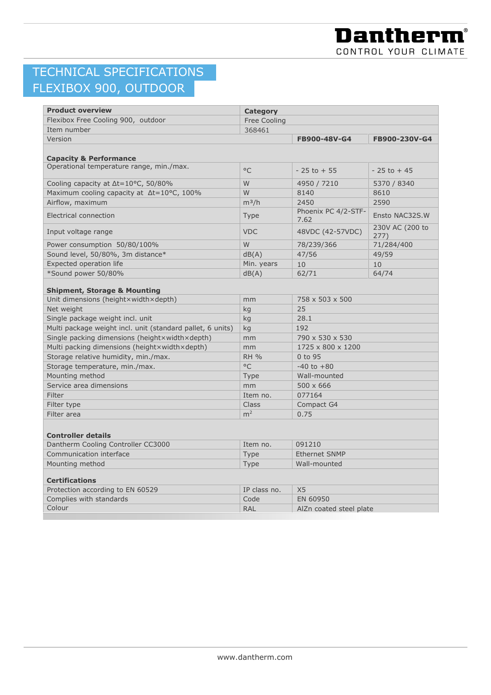## TECHNICAL SPECIFICATIONS FLEXIBOX 900, OUTDOOR

| <b>Product overview</b>                                    | <b>Category</b> |                             |                         |  |
|------------------------------------------------------------|-----------------|-----------------------------|-------------------------|--|
| Flexibox Free Cooling 900, outdoor                         | Free Cooling    |                             |                         |  |
| Item number                                                | 368461          |                             |                         |  |
| Version                                                    |                 | FB900-48V-G4                | FB900-230V-G4           |  |
|                                                            |                 |                             |                         |  |
| <b>Capacity &amp; Performance</b>                          |                 |                             |                         |  |
| Operational temperature range, min./max.                   | $^{\circ}$ C    | $-25$ to $+55$              | $-25$ to $+45$          |  |
| Cooling capacity at ∆t=10°C, 50/80%                        | W               | 4950 / 7210                 | 5370 / 8340             |  |
| Maximum cooling capacity at Δt=10°C, 100%                  | W               | 8140                        | 8610                    |  |
| Airflow, maximum                                           | $m^3/h$         | 2450                        | 2590                    |  |
| Electrical connection                                      | <b>Type</b>     | Phoenix PC 4/2-STF-<br>7.62 | Ensto NAC32S.W          |  |
| Input voltage range                                        | <b>VDC</b>      | 48VDC (42-57VDC)            | 230V AC (200 to<br>277) |  |
| Power consumption 50/80/100%                               | W               | 78/239/366                  | 71/284/400              |  |
| Sound level, 50/80%, 3m distance*                          | dB(A)           | 47/56                       | 49/59                   |  |
| Expected operation life                                    | Min. years      | 10                          | 10                      |  |
| *Sound power 50/80%                                        | dB(A)           | 62/71                       | 64/74                   |  |
| <b>Shipment, Storage &amp; Mounting</b>                    |                 |                             |                         |  |
| Unit dimensions (height×width×depth)                       | mm              | 758 x 503 x 500             |                         |  |
| Net weight                                                 | kg              | 25                          |                         |  |
| Single package weight incl. unit                           | kg              | 28.1                        |                         |  |
| Multi package weight incl. unit (standard pallet, 6 units) | kg              | 192                         |                         |  |
| Single packing dimensions (heightxwidthxdepth)             | mm              | 790 x 530 x 530             |                         |  |
| Multi packing dimensions (heightxwidthxdepth)              | mm              | 1725 x 800 x 1200           |                         |  |
| Storage relative humidity, min./max.                       | <b>RH %</b>     | 0 to 95                     |                         |  |
| Storage temperature, min./max.                             | $\circ$ C       | $-40$ to $+80$              |                         |  |
| Mounting method                                            | Type            | Wall-mounted                |                         |  |
| Service area dimensions                                    | mm              | $500 \times 666$            |                         |  |
| Filter                                                     | Item no.        | 077164                      |                         |  |
| Filter type                                                | Class           | Compact G4                  |                         |  |
| Filter area                                                | m <sup>2</sup>  | 0.75                        |                         |  |
|                                                            |                 |                             |                         |  |
| <b>Controller details</b>                                  |                 |                             |                         |  |
| Dantherm Cooling Controller CC3000                         | Item no.        | 091210                      |                         |  |
| Communication interface                                    | <b>Type</b>     | <b>Ethernet SNMP</b>        |                         |  |
| Mounting method                                            | <b>Type</b>     | Wall-mounted                |                         |  |
| <b>Certifications</b>                                      |                 |                             |                         |  |
| Protection according to EN 60529                           | IP class no.    | X <sub>5</sub>              |                         |  |
| Complies with standards                                    | Code            | EN 60950                    |                         |  |
| Colour                                                     | <b>RAL</b>      | AlZn coated steel plate     |                         |  |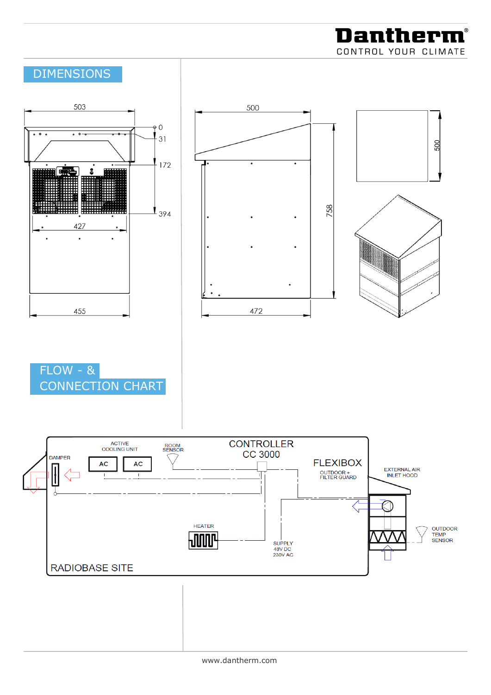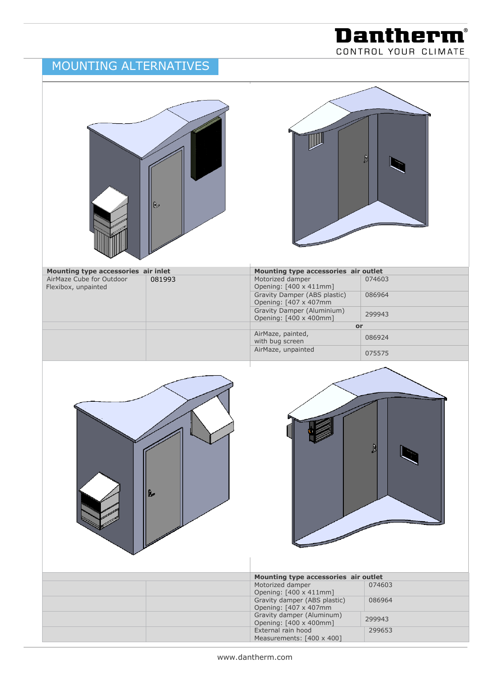### MOUNTING ALTERNATIVES

**Dantherm®** CONTROL YOUR CLIMATE

|                                                                                        | R      |                                                                                                                                                                                                                                                                   | B                                                    |
|----------------------------------------------------------------------------------------|--------|-------------------------------------------------------------------------------------------------------------------------------------------------------------------------------------------------------------------------------------------------------------------|------------------------------------------------------|
|                                                                                        |        |                                                                                                                                                                                                                                                                   |                                                      |
| Mounting type accessories air inlet<br>AirMaze Cube for Outdoor<br>Flexibox, unpainted | 081993 | Mounting type accessories air outlet<br>Motorized damper<br>Opening: [400 x 411mm]<br>Gravity Damper (ABS plastic)<br>Opening: [407 x 407mm<br>Gravity Damper (Aluminium)<br>Opening: [400 x 400mm]<br>AirMaze, painted,<br>with bug screen<br>AirMaze, unpainted | 074603<br>086964<br>299943<br>or<br>086924<br>075575 |
|                                                                                        | b.     |                                                                                                                                                                                                                                                                   | N                                                    |
|                                                                                        |        |                                                                                                                                                                                                                                                                   |                                                      |
|                                                                                        |        | Mounting type accessories air outlet<br>Motorized damper                                                                                                                                                                                                          | 074603                                               |
|                                                                                        |        | Opening: [400 x 411mm]                                                                                                                                                                                                                                            |                                                      |
|                                                                                        |        | Gravity damper (ABS plastic)<br>Opening: [407 x 407mm                                                                                                                                                                                                             | 086964                                               |
|                                                                                        |        | Gravity damper (Aluminum)<br>Opening: [400 x 400mm]                                                                                                                                                                                                               | 299943                                               |
|                                                                                        |        | External rain hood                                                                                                                                                                                                                                                | 299653                                               |
|                                                                                        |        | Measurements: [400 x 400]                                                                                                                                                                                                                                         |                                                      |

www.dantherm.com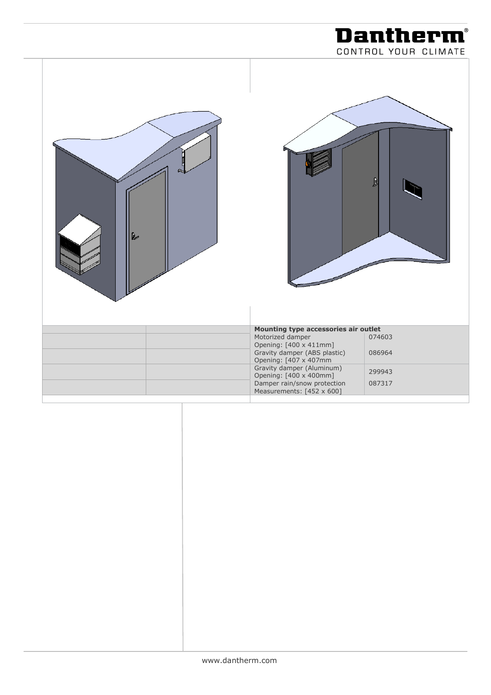|   | CONTROL YOUR CLIMATE                                               |
|---|--------------------------------------------------------------------|
| R | ß                                                                  |
|   | Mounting type accessories air outlet                               |
|   | Motorized damper<br>074603<br>Opening: [400 x 411mm]               |
|   | Gravity damper (ABS plastic)<br>086964<br>Opening: [407 x 407mm    |
|   | Gravity damper (Aluminum)<br>299943<br>Opening: [400 x 400mm]      |
|   | Damper rain/snow protection<br>087317<br>Measurements: [452 x 600] |

**Dantherm®**